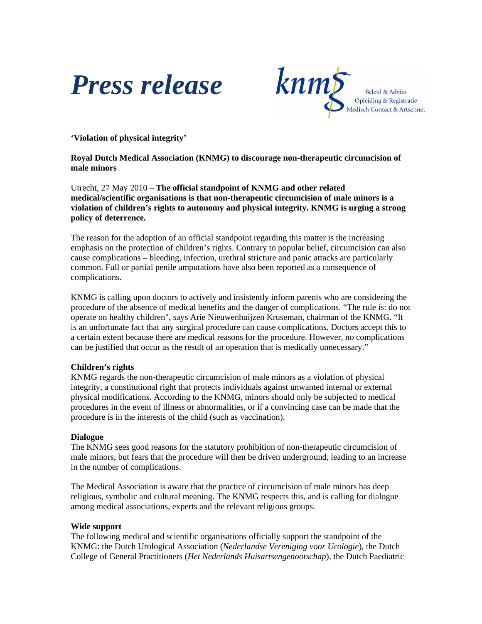



**'Violation of physical integrity'** 

**Royal Dutch Medical Association (KNMG) to discourage non-therapeutic circumcision of male minors** 

Utrecht, 27 May 2010 – **The official standpoint of KNMG and other related medical/scientific organisations is that non-therapeutic circumcision of male minors is a violation of children's rights to autonomy and physical integrity. KNMG is urging a strong policy of deterrence.**

The reason for the adoption of an official standpoint regarding this matter is the increasing emphasis on the protection of children's rights. Contrary to popular belief, circumcision can also cause complications – bleeding, infection, urethral stricture and panic attacks are particularly common. Full or partial penile amputations have also been reported as a consequence of complications.

KNMG is calling upon doctors to actively and insistently inform parents who are considering the procedure of the absence of medical benefits and the danger of complications. "The rule is: do not operate on healthy children", says Arie Nieuwenhuijzen Kruseman, chairman of the KNMG. "It is an unfortunate fact that any surgical procedure can cause complications. Doctors accept this to a certain extent because there are medical reasons for the procedure. However, no complications can be justified that occur as the result of an operation that is medically unnecessary."

## **Children's rights**

KNMG regards the non-therapeutic circumcision of male minors as a violation of physical integrity, a constitutional right that protects individuals against unwanted internal or external physical modifications. According to the KNMG, minors should only be subjected to medical procedures in the event of illness or abnormalities, or if a convincing case can be made that the procedure is in the interests of the child (such as vaccination).

## **Dialogue**

The KNMG sees good reasons for the statutory prohibition of non-therapeutic circumcision of male minors, but fears that the procedure will then be driven underground, leading to an increase in the number of complications.

The Medical Association is aware that the practice of circumcision of male minors has deep religious, symbolic and cultural meaning. The KNMG respects this, and is calling for dialogue among medical associations, experts and the relevant religious groups.

## **Wide support**

The following medical and scientific organisations officially support the standpoint of the KNMG: the Dutch Urological Association (*Nederlandse Vereniging voor Urologie*), the Dutch College of General Practitioners (*Het Nederlands Huisartsengenootschap*), the Dutch Paediatric